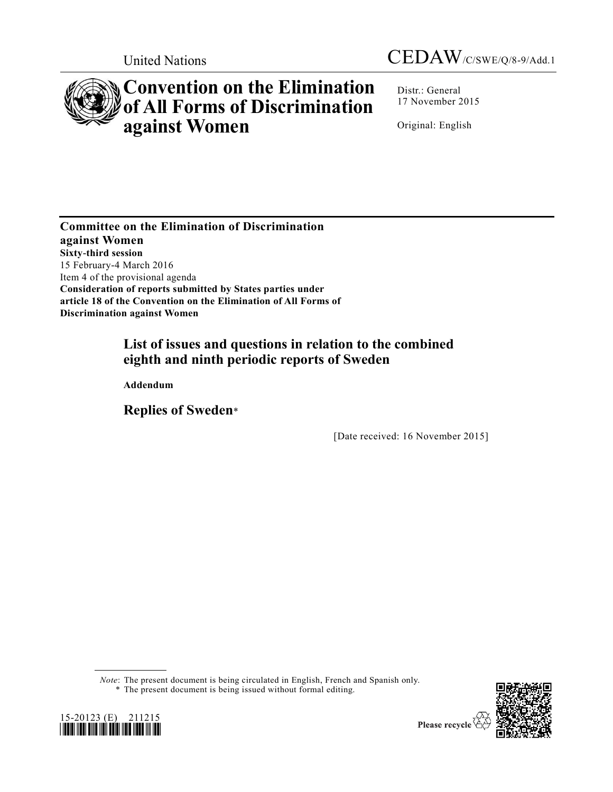

# **Convention on the Elimination of All Forms of Discrimination against Women**

Distr.: General 17 November 2015

Original: English

**Committee on the Elimination of Discrimination against Women Sixty-third session**  15 February-4 March 2016 Item 4 of the provisional agenda **Consideration of reports submitted by States parties under article 18 of the Convention on the Elimination of All Forms of Discrimination against Women** 

# **List of issues and questions in relation to the combined eighth and ninth periodic reports of Sweden**

**Addendum** 

**Replies of Sweden**\*

[Date received: 16 November 2015]

*Note*: The present document is being circulated in English, French and Spanish only. \* The present document is being issued without formal editing.



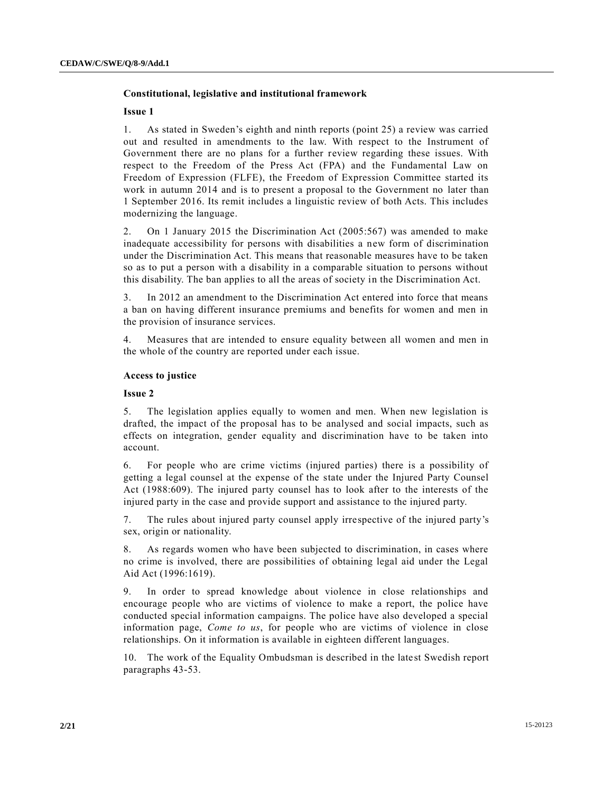# **Constitutional, legislative and institutional framework**

#### **Issue 1**

1. As stated in Sweden's eighth and ninth reports (point 25) a review was carried out and resulted in amendments to the law. With respect to the Instrument of Government there are no plans for a further review regarding these issues. With respect to the Freedom of the Press Act (FPA) and the Fundamental Law on Freedom of Expression (FLFE), the Freedom of Expression Committee started its work in autumn 2014 and is to present a proposal to the Government no later than 1 September 2016. Its remit includes a linguistic review of both Acts. This includes modernizing the language.

2. On 1 January 2015 the Discrimination Act (2005:567) was amended to make inadequate accessibility for persons with disabilities a new form of discrimination under the Discrimination Act. This means that reasonable measures have to be taken so as to put a person with a disability in a comparable situation to persons without this disability. The ban applies to all the areas of society in the Discrimination Act.

3. In 2012 an amendment to the Discrimination Act entered into force that means a ban on having different insurance premiums and benefits for women and men in the provision of insurance services.

4. Measures that are intended to ensure equality between all women and men in the whole of the country are reported under each issue.

# **Access to justice**

#### **Issue 2**

5. The legislation applies equally to women and men. When new legislation is drafted, the impact of the proposal has to be analysed and social impacts, such as effects on integration, gender equality and discrimination have to be taken into account.

6. For people who are crime victims (injured parties) there is a possibility of getting a legal counsel at the expense of the state under the Injured Party Counsel Act (1988:609). The injured party counsel has to look after to the interests of the injured party in the case and provide support and assistance to the injured party.

7. The rules about injured party counsel apply irrespective of the injured party's sex, origin or nationality.

8. As regards women who have been subjected to discrimination, in cases where no crime is involved, there are possibilities of obtaining legal aid under the Legal Aid Act (1996:1619).

9. In order to spread knowledge about violence in close relationships and encourage people who are victims of violence to make a report, the police have conducted special information campaigns. The police have also developed a special information page, *Come to us*, for people who are victims of violence in close relationships. On it information is available in eighteen different languages.

10. The work of the Equality Ombudsman is described in the latest Swedish report paragraphs 43-53.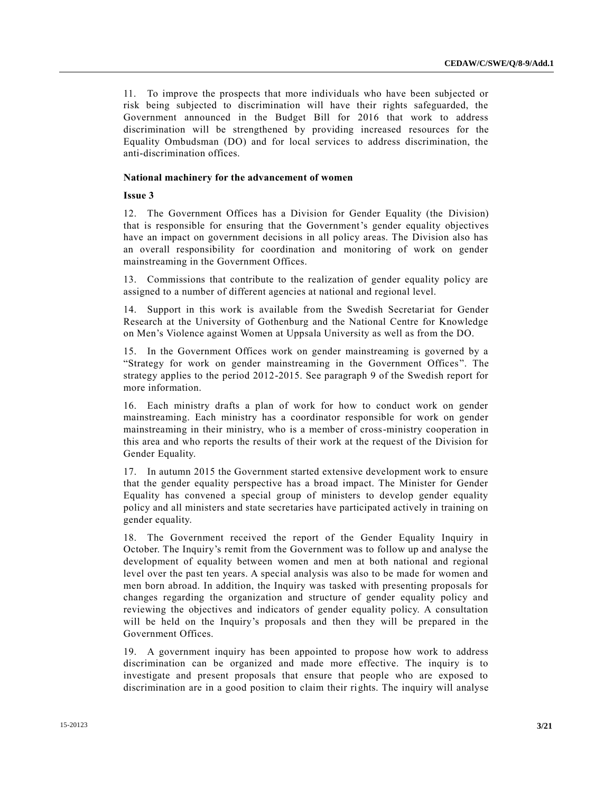11. To improve the prospects that more individuals who have been subjected or risk being subjected to discrimination will have their rights safeguarded, the Government announced in the Budget Bill for 2016 that work to address discrimination will be strengthened by providing increased resources for the Equality Ombudsman (DO) and for local services to address discrimination, the anti-discrimination offices.

#### **National machinery for the advancement of women**

**Issue 3**

12. The Government Offices has a Division for Gender Equality (the Division) that is responsible for ensuring that the Government's gender equality objectives have an impact on government decisions in all policy areas. The Division also has an overall responsibility for coordination and monitoring of work on gender mainstreaming in the Government Offices.

13. Commissions that contribute to the realization of gender equality policy are assigned to a number of different agencies at national and regional level.

14. Support in this work is available from the Swedish Secretariat for Gender Research at the University of Gothenburg and the National Centre for Knowledge on Men's Violence against Women at Uppsala University as well as from the DO.

15. In the Government Offices work on gender mainstreaming is governed by a "Strategy for work on gender mainstreaming in the Government Offices". The strategy applies to the period 2012-2015. See paragraph 9 of the Swedish report for more information.

16. Each ministry drafts a plan of work for how to conduct work on gender mainstreaming. Each ministry has a coordinator responsible for work on gender mainstreaming in their ministry, who is a member of cross-ministry cooperation in this area and who reports the results of their work at the request of the Division for Gender Equality.

17. In autumn 2015 the Government started extensive development work to ensure that the gender equality perspective has a broad impact. The Minister for Gender Equality has convened a special group of ministers to develop gender equality policy and all ministers and state secretaries have participated actively in training on gender equality.

18. The Government received the report of the Gender Equality Inquiry in October. The Inquiry's remit from the Government was to follow up and analyse the development of equality between women and men at both national and regional level over the past ten years. A special analysis was also to be made for women and men born abroad. In addition, the Inquiry was tasked with presenting proposals for changes regarding the organization and structure of gender equality policy and reviewing the objectives and indicators of gender equality policy. A consultation will be held on the Inquiry's proposals and then they will be prepared in the Government Offices.

19. A government inquiry has been appointed to propose how work to address discrimination can be organized and made more effective. The inquiry is to investigate and present proposals that ensure that people who are exposed to discrimination are in a good position to claim their rights. The inquiry will analyse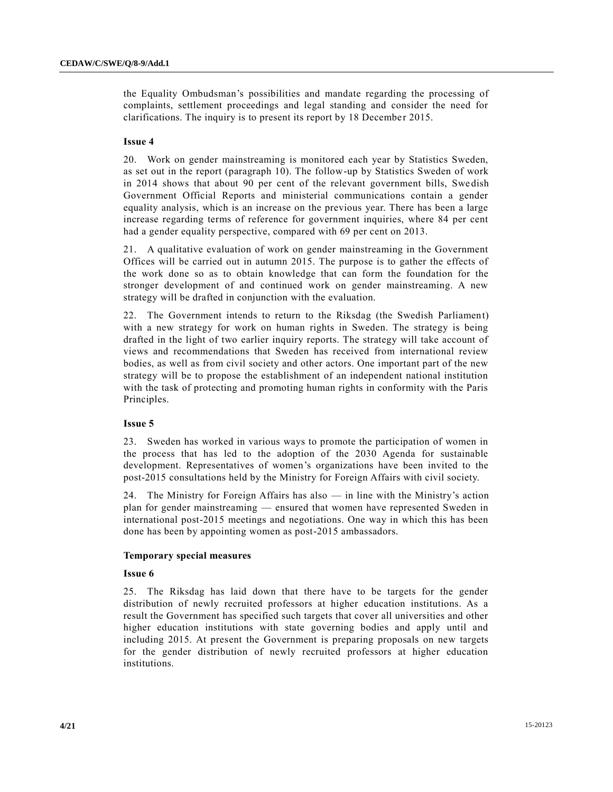the Equality Ombudsman's possibilities and mandate regarding the processing of complaints, settlement proceedings and legal standing and consider the need for clarifications. The inquiry is to present its report by 18 December 2015.

## **Issue 4**

20. Work on gender mainstreaming is monitored each year by Statistics Sweden, as set out in the report (paragraph 10). The follow-up by Statistics Sweden of work in 2014 shows that about 90 per cent of the relevant government bills, Swedish Government Official Reports and ministerial communications contain a gender equality analysis, which is an increase on the previous year. There has been a large increase regarding terms of reference for government inquiries, where 84 per cent had a gender equality perspective, compared with 69 per cent on 2013.

21. A qualitative evaluation of work on gender mainstreaming in the Government Offices will be carried out in autumn 2015. The purpose is to gather the effects of the work done so as to obtain knowledge that can form the foundation for the stronger development of and continued work on gender mainstreaming. A new strategy will be drafted in conjunction with the evaluation.

22. The Government intends to return to the Riksdag (the Swedish Parliament) with a new strategy for work on human rights in Sweden. The strategy is being drafted in the light of two earlier inquiry reports. The strategy will take account of views and recommendations that Sweden has received from international review bodies, as well as from civil society and other actors. One important part of the new strategy will be to propose the establishment of an independent national institution with the task of protecting and promoting human rights in conformity with the Paris Principles.

# **Issue 5**

23. Sweden has worked in various ways to promote the participation of women in the process that has led to the adoption of the 2030 Agenda for sustainable development. Representatives of women's organizations have been invited to the post-2015 consultations held by the Ministry for Foreign Affairs with civil society.

24. The Ministry for Foreign Affairs has also — in line with the Ministry's action plan for gender mainstreaming — ensured that women have represented Sweden in international post-2015 meetings and negotiations. One way in which this has been done has been by appointing women as post-2015 ambassadors.

# **Temporary special measures**

#### **Issue 6**

25. The Riksdag has laid down that there have to be targets for the gender distribution of newly recruited professors at higher education institutions. As a result the Government has specified such targets that cover all universities and other higher education institutions with state governing bodies and apply until and including 2015. At present the Government is preparing proposals on new targets for the gender distribution of newly recruited professors at higher education institutions.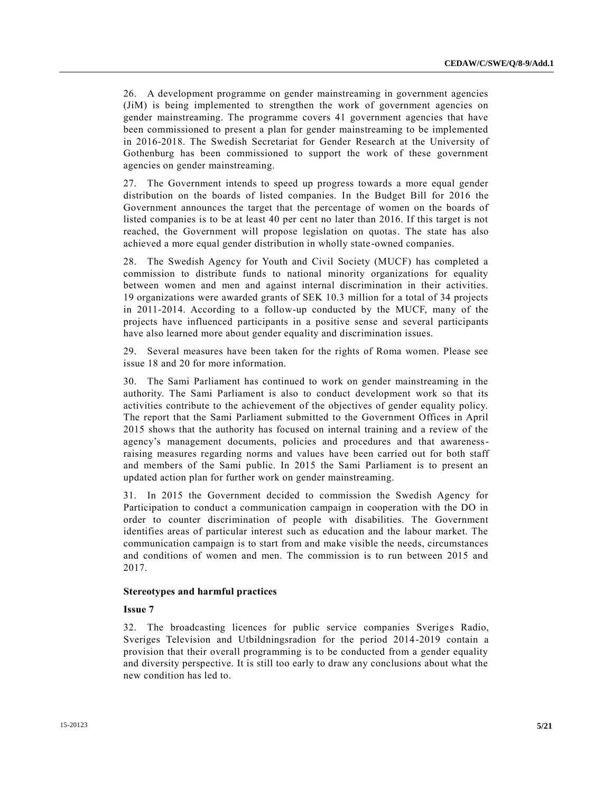26. A development programme on gender mainstreaming in government agencies (JiM) is being implemented to strengthen the work of government agencies on gender mainstreaming. The programme covers 41 government agencies that have been commissioned to present a plan for gender mainstreaming to be implemented in 2016-2018. The Swedish Secretariat for Gender Research at the University of Gothenburg has been commissioned to support the work of these government agencies on gender mainstreaming.

27. The Government intends to speed up progress towards a more equal gender distribution on the boards of listed companies. In the Budget Bill for 2016 the Government announces the target that the percentage of women on the boards of listed companies is to be at least 40 per cent no later than 2016. If this target is not reached, the Government will propose legislation on quotas. The state has also achieved a more equal gender distribution in wholly state-owned companies.

28. The Swedish Agency for Youth and Civil Society (MUCF) has completed a commission to distribute funds to national minority organizations for equality between women and men and against internal discrimination in their activities. 19 organizations were awarded grants of SEK 10.3 million for a total of 34 projects in 2011-2014. According to a follow-up conducted by the MUCF, many of the projects have influenced participants in a positive sense and several participants have also learned more about gender equality and discrimination issues.

29. Several measures have been taken for the rights of Roma women. Please see issue 18 and 20 for more information.

30. The Sami Parliament has continued to work on gender mainstreaming in the authority. The Sami Parliament is also to conduct development work so that its activities contribute to the achievement of the objectives of gender equality policy. The report that the Sami Parliament submitted to the Government Offices in April 2015 shows that the authority has focused on internal training and a review of the agency's management documents, policies and procedures and that awarenessraising measures regarding norms and values have been carried out for both staff and members of the Sami public. In 2015 the Sami Parliament is to present an updated action plan for further work on gender mainstreaming.

31. In 2015 the Government decided to commission the Swedish Agency for Participation to conduct a communication campaign in cooperation with the DO in order to counter discrimination of people with disabilities. The Government identifies areas of particular interest such as education and the labour market. The communication campaign is to start from and make visible the needs, circumstances and conditions of women and men. The commission is to run between 2015 and 2017.

# **Stereotypes and harmful practices**

#### **Issue 7**

32. The broadcasting licences for public service companies Sveriges Radio, Sveriges Television and Utbildningsradion for the period 2014-2019 contain a provision that their overall programming is to be conducted from a gender equality and diversity perspective. It is still too early to draw any conclusions about what the new condition has led to.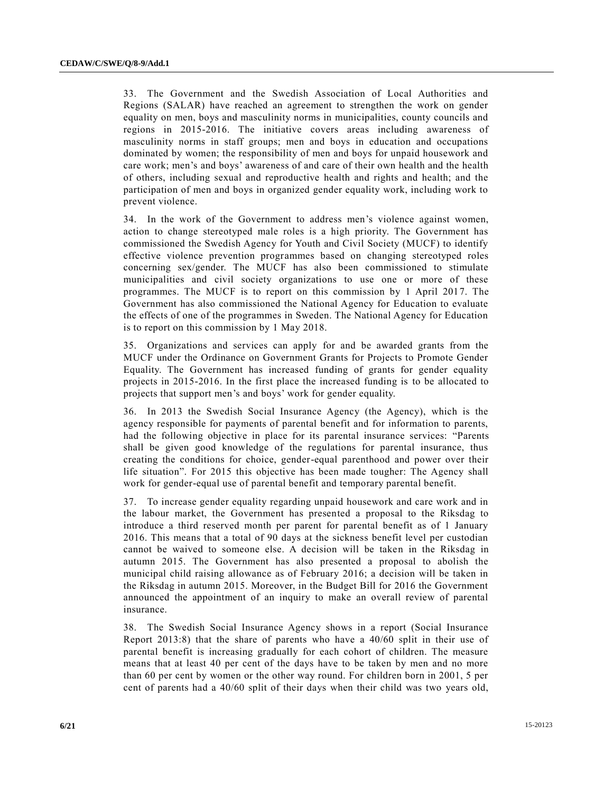33. The Government and the Swedish Association of Local Authorities and Regions (SALAR) have reached an agreement to strengthen the work on gender equality on men, boys and masculinity norms in municipalities, county councils and regions in 2015-2016. The initiative covers areas including awareness of masculinity norms in staff groups; men and boys in education and occupations dominated by women; the responsibility of men and boys for unpaid housework and care work; men's and boys' awareness of and care of their own health and the health of others, including sexual and reproductive health and rights and health; and the participation of men and boys in organized gender equality work, including work to prevent violence.

34. In the work of the Government to address men's violence against women, action to change stereotyped male roles is a high priority. The Government has commissioned the Swedish Agency for Youth and Civil Society (MUCF) to identify effective violence prevention programmes based on changing stereotyped roles concerning sex/gender. The MUCF has also been commissioned to stimulate municipalities and civil society organizations to use one or more of these programmes. The MUCF is to report on this commission by 1 April 2017. The Government has also commissioned the National Agency for Education to evaluate the effects of one of the programmes in Sweden. The National Agency for Education is to report on this commission by 1 May 2018.

35. Organizations and services can apply for and be awarded grants from the MUCF under the Ordinance on Government Grants for Projects to Promote Gender Equality. The Government has increased funding of grants for gender equality projects in 2015-2016. In the first place the increased funding is to be allocated to projects that support men's and boys' work for gender equality.

36. In 2013 the Swedish Social Insurance Agency (the Agency), which is the agency responsible for payments of parental benefit and for information to parents, had the following objective in place for its parental insurance services: "Parents shall be given good knowledge of the regulations for parental insurance, thus creating the conditions for choice, gender-equal parenthood and power over their life situation". For 2015 this objective has been made tougher: The Agency shall work for gender-equal use of parental benefit and temporary parental benefit.

37. To increase gender equality regarding unpaid housework and care work and in the labour market, the Government has presented a proposal to the Riksdag to introduce a third reserved month per parent for parental benefit as of 1 January 2016. This means that a total of 90 days at the sickness benefit level per custodian cannot be waived to someone else. A decision will be taken in the Riksdag in autumn 2015. The Government has also presented a proposal to abolish the municipal child raising allowance as of February 2016; a decision will be taken in the Riksdag in autumn 2015. Moreover, in the Budget Bill for 2016 the Government announced the appointment of an inquiry to make an overall review of parental insurance.

38. The Swedish Social Insurance Agency shows in a report (Social Insurance Report 2013:8) that the share of parents who have a 40/60 split in their use of parental benefit is increasing gradually for each cohort of children. The measure means that at least 40 per cent of the days have to be taken by men and no more than 60 per cent by women or the other way round. For children born in 2001, 5 per cent of parents had a 40/60 split of their days when their child was two years old,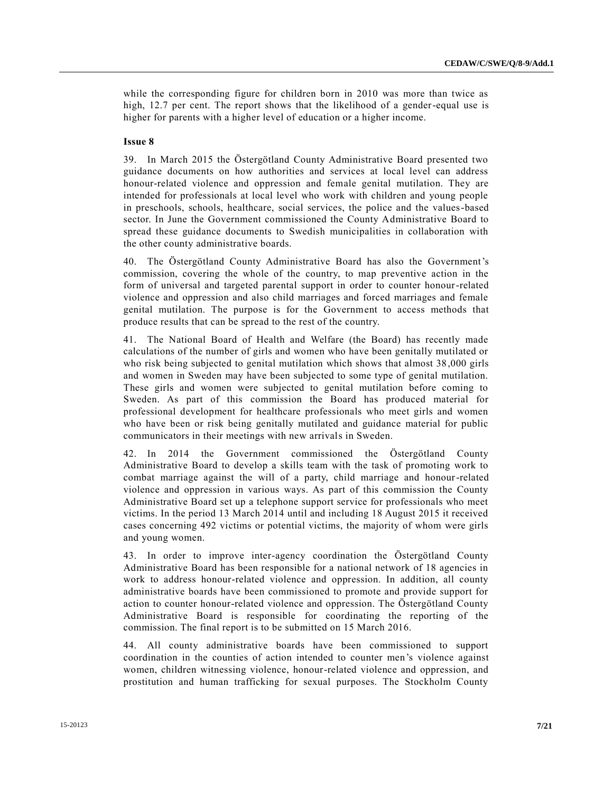while the corresponding figure for children born in 2010 was more than twice as high, 12.7 per cent. The report shows that the likelihood of a gender-equal use is higher for parents with a higher level of education or a higher income.

# **Issue 8**

39. In March 2015 the Östergötland County Administrative Board presented two guidance documents on how authorities and services at local level can address honour-related violence and oppression and female genital mutilation. They are intended for professionals at local level who work with children and young people in preschools, schools, healthcare, social services, the police and the values-based sector. In June the Government commissioned the County Administrative Board to spread these guidance documents to Swedish municipalities in collaboration with the other county administrative boards.

40. The Östergötland County Administrative Board has also the Government's commission, covering the whole of the country, to map preventive action in the form of universal and targeted parental support in order to counter honour-related violence and oppression and also child marriages and forced marriages and female genital mutilation. The purpose is for the Government to access methods that produce results that can be spread to the rest of the country.

41. The National Board of Health and Welfare (the Board) has recently made calculations of the number of girls and women who have been genitally mutilated or who risk being subjected to genital mutilation which shows that almost 38,000 girls and women in Sweden may have been subjected to some type of genital mutilation. These girls and women were subjected to genital mutilation before coming to Sweden. As part of this commission the Board has produced material for professional development for healthcare professionals who meet girls and women who have been or risk being genitally mutilated and guidance material for public communicators in their meetings with new arrivals in Sweden.

42. In 2014 the Government commissioned the Östergötland County Administrative Board to develop a skills team with the task of promoting work to combat marriage against the will of a party, child marriage and honour-related violence and oppression in various ways. As part of this commission the County Administrative Board set up a telephone support service for professionals who meet victims. In the period 13 March 2014 until and including 18 August 2015 it received cases concerning 492 victims or potential victims, the majority of whom were girls and young women.

43. In order to improve inter-agency coordination the Östergötland County Administrative Board has been responsible for a national network of 18 agencies in work to address honour-related violence and oppression. In addition, all county administrative boards have been commissioned to promote and provide support for action to counter honour-related violence and oppression. The Östergötland County Administrative Board is responsible for coordinating the reporting of the commission. The final report is to be submitted on 15 March 2016.

44. All county administrative boards have been commissioned to support coordination in the counties of action intended to counter men's violence against women, children witnessing violence, honour-related violence and oppression, and prostitution and human trafficking for sexual purposes. The Stockholm County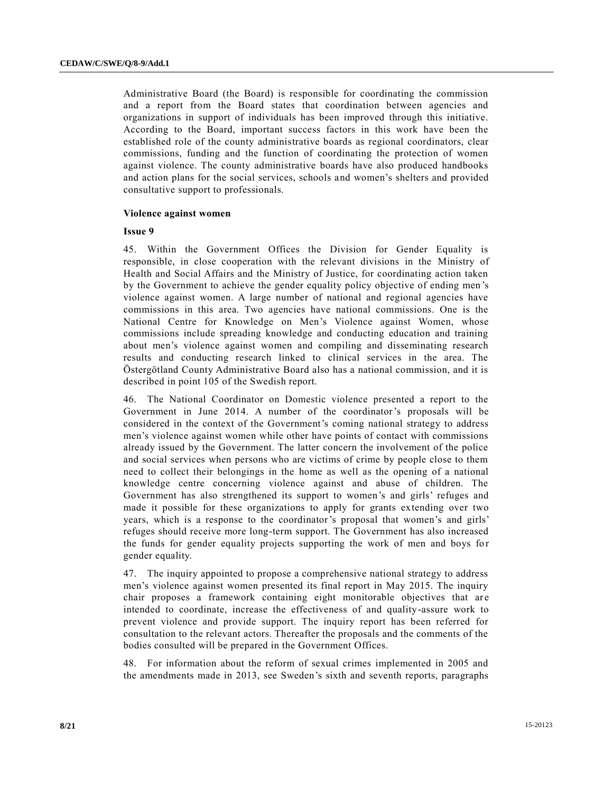Administrative Board (the Board) is responsible for coordinating the commission and a report from the Board states that coordination between agencies and organizations in support of individuals has been improved through this initiative. According to the Board, important success factors in this work have been the established role of the county administrative boards as regional coordinators, clear commissions, funding and the function of coordinating the protection of women against violence. The county administrative boards have also produced handbooks and action plans for the social services, schools and women's shelters and provided consultative support to professionals.

#### **Violence against women**

#### **Issue 9**

45. Within the Government Offices the Division for Gender Equality is responsible, in close cooperation with the relevant divisions in the Ministry of Health and Social Affairs and the Ministry of Justice, for coordinating action taken by the Government to achieve the gender equality policy objective of ending men 's violence against women. A large number of national and regional agencies have commissions in this area. Two agencies have national commissions. One is the National Centre for Knowledge on Men's Violence against Women, whose commissions include spreading knowledge and conducting education and training about men's violence against women and compiling and disseminating research results and conducting research linked to clinical services in the area. The Östergötland County Administrative Board also has a national commission, and it is described in point 105 of the Swedish report.

46. The National Coordinator on Domestic violence presented a report to the Government in June 2014. A number of the coordinator's proposals will be considered in the context of the Government's coming national strategy to address men's violence against women while other have points of contact with commissions already issued by the Government. The latter concern the involvement of the police and social services when persons who are victims of crime by people close to them need to collect their belongings in the home as well as the opening of a national knowledge centre concerning violence against and abuse of children. The Government has also strengthened its support to women's and girls' refuges and made it possible for these organizations to apply for grants extending over two years, which is a response to the coordinator's proposal that women's and girls' refuges should receive more long-term support. The Government has also increased the funds for gender equality projects supporting the work of men and boys for gender equality.

47. The inquiry appointed to propose a comprehensive national strategy to address men's violence against women presented its final report in May 2015. The inquiry chair proposes a framework containing eight monitorable objectives that are intended to coordinate, increase the effectiveness of and quality-assure work to prevent violence and provide support. The inquiry report has been referred for consultation to the relevant actors. Thereafter the proposals and the comments of the bodies consulted will be prepared in the Government Offices.

48. For information about the reform of sexual crimes implemented in 2005 and the amendments made in 2013, see Sweden's sixth and seventh reports, paragraphs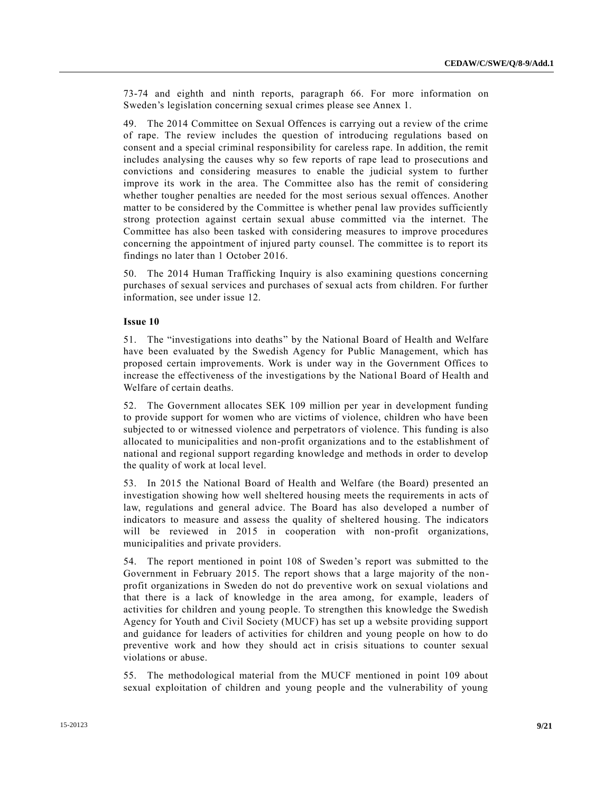73-74 and eighth and ninth reports, paragraph 66. For more information on Sweden's legislation concerning sexual crimes please see Annex 1.

49. The 2014 Committee on Sexual Offences is carrying out a review of the crime of rape. The review includes the question of introducing regulations based on consent and a special criminal responsibility for careless rape. In addition, the remit includes analysing the causes why so few reports of rape lead to prosecutions and convictions and considering measures to enable the judicial system to further improve its work in the area. The Committee also has the remit of considering whether tougher penalties are needed for the most serious sexual offences. Another matter to be considered by the Committee is whether penal law provides sufficiently strong protection against certain sexual abuse committed via the internet. The Committee has also been tasked with considering measures to improve procedures concerning the appointment of injured party counsel. The committee is to report its findings no later than 1 October 2016.

50. The 2014 Human Trafficking Inquiry is also examining questions concerning purchases of sexual services and purchases of sexual acts from children. For further information, see under issue 12.

# **Issue 10**

51. The "investigations into deaths" by the National Board of Health and Welfare have been evaluated by the Swedish Agency for Public Management, which has proposed certain improvements. Work is under way in the Government Offices to increase the effectiveness of the investigations by the National Board of Health and Welfare of certain deaths.

52. The Government allocates SEK 109 million per year in development funding to provide support for women who are victims of violence, children who have been subjected to or witnessed violence and perpetrators of violence. This funding is also allocated to municipalities and non-profit organizations and to the establishment of national and regional support regarding knowledge and methods in order to develop the quality of work at local level.

53. In 2015 the National Board of Health and Welfare (the Board) presented an investigation showing how well sheltered housing meets the requirements in acts of law, regulations and general advice. The Board has also developed a number of indicators to measure and assess the quality of sheltered housing. The indicators will be reviewed in 2015 in cooperation with non-profit organizations, municipalities and private providers.

54. The report mentioned in point 108 of Sweden's report was submitted to the Government in February 2015. The report shows that a large majority of the nonprofit organizations in Sweden do not do preventive work on sexual violations and that there is a lack of knowledge in the area among, for example, leaders of activities for children and young people. To strengthen this knowledge the Swedish Agency for Youth and Civil Society (MUCF) has set up a website providing support and guidance for leaders of activities for children and young people on how to do preventive work and how they should act in crisis situations to counter sexual violations or abuse.

55. The methodological material from the MUCF mentioned in point 109 about sexual exploitation of children and young people and the vulnerability of young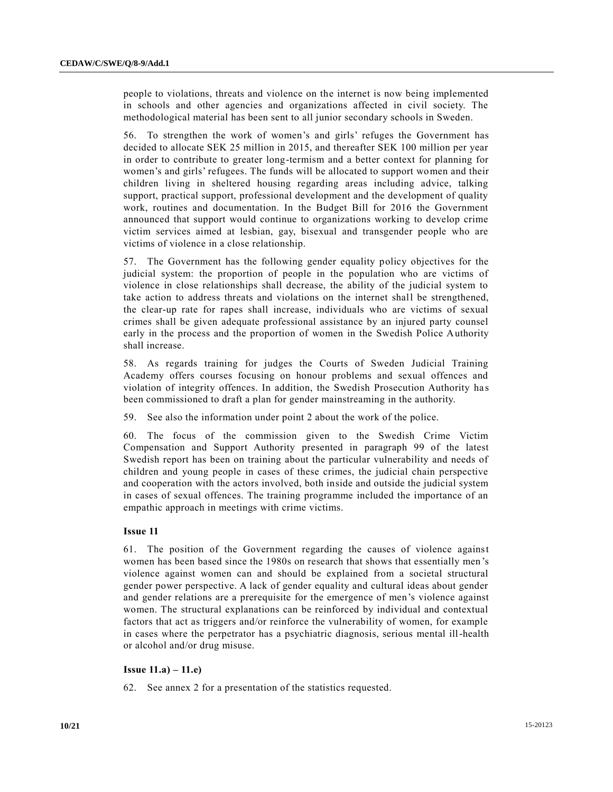people to violations, threats and violence on the internet is now being implemented in schools and other agencies and organizations affected in civil society. The methodological material has been sent to all junior secondary schools in Sweden.

56. To strengthen the work of women's and girls' refuges the Government has decided to allocate SEK 25 million in 2015, and thereafter SEK 100 million per year in order to contribute to greater long-termism and a better context for planning for women's and girls' refugees. The funds will be allocated to support women and their children living in sheltered housing regarding areas including advice, talking support, practical support, professional development and the development of quality work, routines and documentation. In the Budget Bill for 2016 the Government announced that support would continue to organizations working to develop crime victim services aimed at lesbian, gay, bisexual and transgender people who are victims of violence in a close relationship.

57. The Government has the following gender equality policy objectives for the judicial system: the proportion of people in the population who are victims of violence in close relationships shall decrease, the ability of the judicial system to take action to address threats and violations on the internet shall be strengthened, the clear-up rate for rapes shall increase, individuals who are victims of sexual crimes shall be given adequate professional assistance by an injured party counsel early in the process and the proportion of women in the Swedish Police Authority shall increase.

58. As regards training for judges the Courts of Sweden Judicial Training Academy offers courses focusing on honour problems and sexual offences and violation of integrity offences. In addition, the Swedish Prosecution Authority ha s been commissioned to draft a plan for gender mainstreaming in the authority.

59. See also the information under point 2 about the work of the police.

60. The focus of the commission given to the Swedish Crime Victim Compensation and Support Authority presented in paragraph 99 of the latest Swedish report has been on training about the particular vulnerability and needs of children and young people in cases of these crimes, the judicial chain perspective and cooperation with the actors involved, both inside and outside the judicial system in cases of sexual offences. The training programme included the importance of an empathic approach in meetings with crime victims.

# **Issue 11**

61. The position of the Government regarding the causes of violence against women has been based since the 1980s on research that shows that essentially men 's violence against women can and should be explained from a societal structural gender power perspective. A lack of gender equality and cultural ideas about gender and gender relations are a prerequisite for the emergence of men's violence against women. The structural explanations can be reinforced by individual and contextual factors that act as triggers and/or reinforce the vulnerability of women, for example in cases where the perpetrator has a psychiatric diagnosis, serious mental ill-health or alcohol and/or drug misuse.

# **Issue 11.a) – 11.e)**

62. See annex 2 for a presentation of the statistics requested.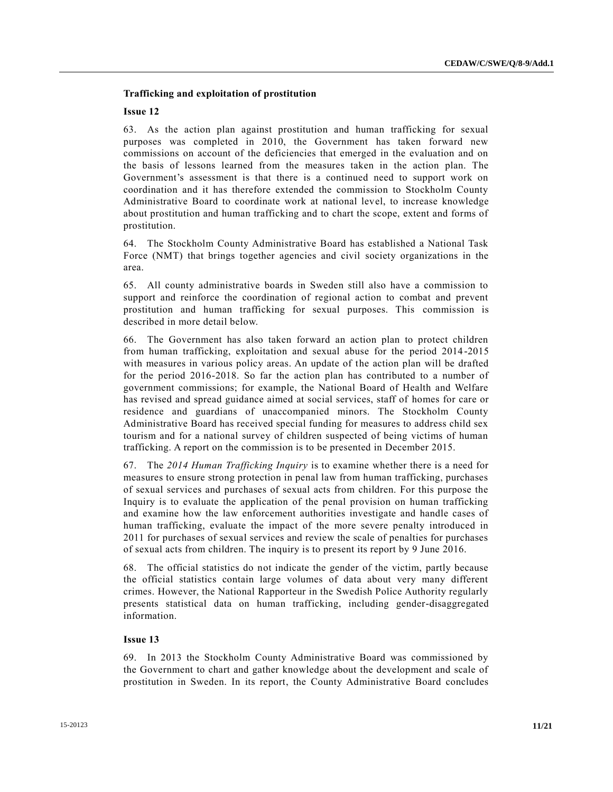# **Trafficking and exploitation of prostitution**

#### **Issue 12**

63. As the action plan against prostitution and human trafficking for sexual purposes was completed in 2010, the Government has taken forward new commissions on account of the deficiencies that emerged in the evaluation and on the basis of lessons learned from the measures taken in the action plan. The Government's assessment is that there is a continued need to support work on coordination and it has therefore extended the commission to Stockholm County Administrative Board to coordinate work at national level, to increase knowledge about prostitution and human trafficking and to chart the scope, extent and forms of prostitution.

64. The Stockholm County Administrative Board has established a National Task Force (NMT) that brings together agencies and civil society organizations in the area.

65. All county administrative boards in Sweden still also have a commission to support and reinforce the coordination of regional action to combat and prevent prostitution and human trafficking for sexual purposes. This commission is described in more detail below.

66. The Government has also taken forward an action plan to protect children from human trafficking, exploitation and sexual abuse for the period 2014 -2015 with measures in various policy areas. An update of the action plan will be drafted for the period 2016-2018. So far the action plan has contributed to a number of government commissions; for example, the National Board of Health and Welfare has revised and spread guidance aimed at social services, staff of homes for care or residence and guardians of unaccompanied minors. The Stockholm County Administrative Board has received special funding for measures to address child sex tourism and for a national survey of children suspected of being victims of human trafficking. A report on the commission is to be presented in December 2015.

67. The *2014 Human Trafficking Inquiry* is to examine whether there is a need for measures to ensure strong protection in penal law from human trafficking, purchases of sexual services and purchases of sexual acts from children. For this purpose the Inquiry is to evaluate the application of the penal provision on human trafficking and examine how the law enforcement authorities investigate and handle cases of human trafficking, evaluate the impact of the more severe penalty introduced in 2011 for purchases of sexual services and review the scale of penalties for purchases of sexual acts from children. The inquiry is to present its report by 9 June 2016.

68. The official statistics do not indicate the gender of the victim, partly because the official statistics contain large volumes of data about very many different crimes. However, the National Rapporteur in the Swedish Police Authority regularly presents statistical data on human trafficking, including gender-disaggregated information.

# **Issue 13**

69. In 2013 the Stockholm County Administrative Board was commissioned by the Government to chart and gather knowledge about the development and scale of prostitution in Sweden. In its report, the County Administrative Board concludes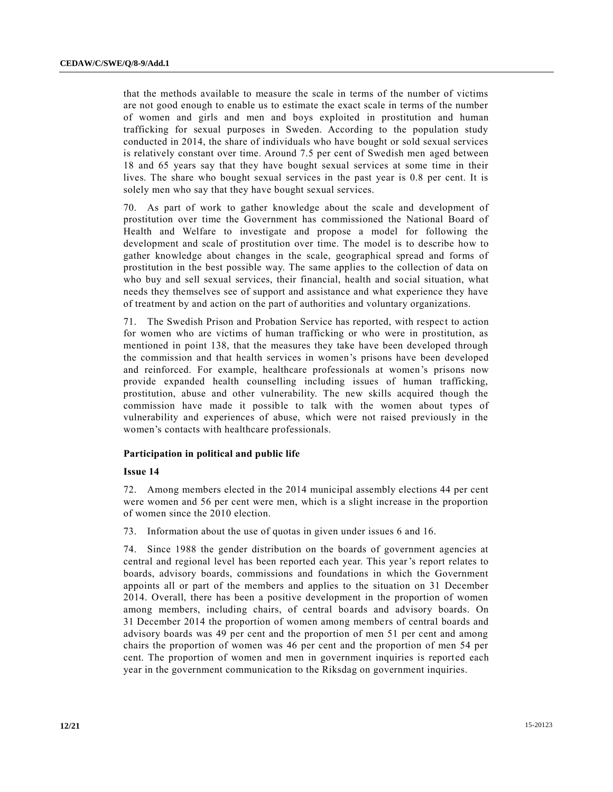that the methods available to measure the scale in terms of the number of victims are not good enough to enable us to estimate the exact scale in terms of the number of women and girls and men and boys exploited in prostitution and human trafficking for sexual purposes in Sweden. According to the population study conducted in 2014, the share of individuals who have bought or sold sexual services is relatively constant over time. Around 7.5 per cent of Swedish men aged between 18 and 65 years say that they have bought sexual services at some time in their lives. The share who bought sexual services in the past year is 0.8 per cent. It is solely men who say that they have bought sexual services.

70. As part of work to gather knowledge about the scale and development of prostitution over time the Government has commissioned the National Board of Health and Welfare to investigate and propose a model for following the development and scale of prostitution over time. The model is to describe how to gather knowledge about changes in the scale, geographical spread and forms of prostitution in the best possible way. The same applies to the collection of data on who buy and sell sexual services, their financial, health and social situation, what needs they themselves see of support and assistance and what experience they have of treatment by and action on the part of authorities and voluntary organizations.

71. The Swedish Prison and Probation Service has reported, with respect to action for women who are victims of human trafficking or who were in prostitution, as mentioned in point 138, that the measures they take have been developed through the commission and that health services in women's prisons have been developed and reinforced. For example, healthcare professionals at women's prisons now provide expanded health counselling including issues of human trafficking, prostitution, abuse and other vulnerability. The new skills acquired though the commission have made it possible to talk with the women about types of vulnerability and experiences of abuse, which were not raised previously in the women's contacts with healthcare professionals.

# **Participation in political and public life**

# **Issue 14**

72. Among members elected in the 2014 municipal assembly elections 44 per cent were women and 56 per cent were men, which is a slight increase in the proportion of women since the 2010 election.

73. Information about the use of quotas in given under issues 6 and 16.

74. Since 1988 the gender distribution on the boards of government agencies at central and regional level has been reported each year. This year's report relates to boards, advisory boards, commissions and foundations in which the Government appoints all or part of the members and applies to the situation on 31 December 2014. Overall, there has been a positive development in the proportion of women among members, including chairs, of central boards and advisory boards. On 31 December 2014 the proportion of women among members of central boards and advisory boards was 49 per cent and the proportion of men 51 per cent and among chairs the proportion of women was 46 per cent and the proportion of men 54 per cent. The proportion of women and men in government inquiries is reported each year in the government communication to the Riksdag on government inquiries.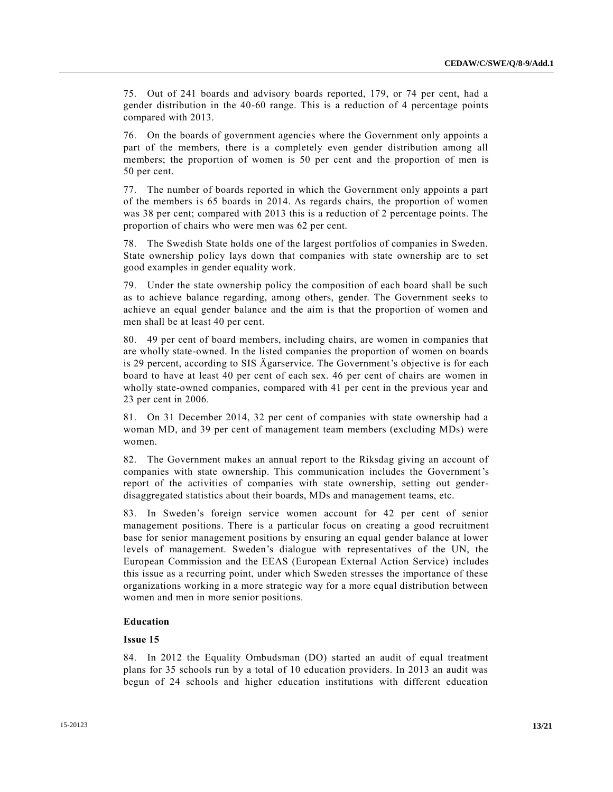75. Out of 241 boards and advisory boards reported, 179, or 74 per cent, had a gender distribution in the 40-60 range. This is a reduction of 4 percentage points compared with 2013.

76. On the boards of government agencies where the Government only appoints a part of the members, there is a completely even gender distribution among all members; the proportion of women is 50 per cent and the proportion of men is 50 per cent.

77. The number of boards reported in which the Government only appoints a part of the members is 65 boards in 2014. As regards chairs, the proportion of women was 38 per cent; compared with 2013 this is a reduction of 2 percentage points. The proportion of chairs who were men was 62 per cent.

78. The Swedish State holds one of the largest portfolios of companies in Sweden. State ownership policy lays down that companies with state ownership are to set good examples in gender equality work.

79. Under the state ownership policy the composition of each board shall be such as to achieve balance regarding, among others, gender. The Government seeks to achieve an equal gender balance and the aim is that the proportion of women and men shall be at least 40 per cent.

80. 49 per cent of board members, including chairs, are women in companies that are wholly state-owned. In the listed companies the proportion of women on boards is 29 percent, according to SIS Ägarservice. The Government's objective is for each board to have at least 40 per cent of each sex. 46 per cent of chairs are women in wholly state-owned companies, compared with 41 per cent in the previous year and 23 per cent in 2006.

81. On 31 December 2014, 32 per cent of companies with state ownership had a woman MD, and 39 per cent of management team members (excluding MDs) were women.

82. The Government makes an annual report to the Riksdag giving an account of companies with state ownership. This communication includes the Government's report of the activities of companies with state ownership, setting out genderdisaggregated statistics about their boards, MDs and management teams, etc.

83. In Sweden's foreign service women account for 42 per cent of senior management positions. There is a particular focus on creating a good recruitment base for senior management positions by ensuring an equal gender balance at lower levels of management. Sweden's dialogue with representatives of the UN, the European Commission and the EEAS (European External Action Service) includes this issue as a recurring point, under which Sweden stresses the importance of these organizations working in a more strategic way for a more equal distribution between women and men in more senior positions.

# **Education**

# **Issue 15**

84. In 2012 the Equality Ombudsman (DO) started an audit of equal treatment plans for 35 schools run by a total of 10 education providers. In 2013 an audit was begun of 24 schools and higher education institutions with different education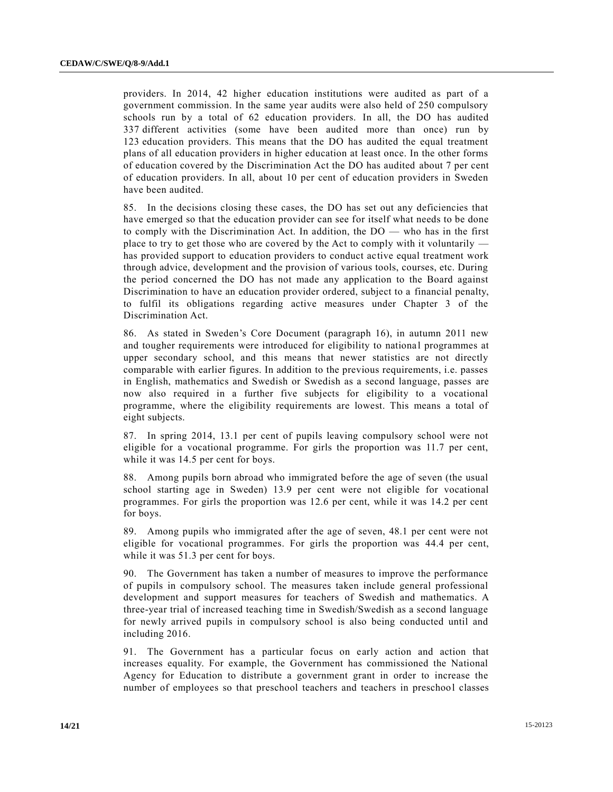providers. In 2014, 42 higher education institutions were audited as part of a government commission. In the same year audits were also held of 250 compulsory schools run by a total of 62 education providers. In all, the DO has audited 337 different activities (some have been audited more than once) run by 123 education providers. This means that the DO has audited the equal treatment plans of all education providers in higher education at least once. In the other forms of education covered by the Discrimination Act the DO has audited about 7 per cent of education providers. In all, about 10 per cent of education providers in Sweden have been audited.

85. In the decisions closing these cases, the DO has set out any deficiencies that have emerged so that the education provider can see for itself what needs to be done to comply with the Discrimination Act. In addition, the DO — who has in the first place to try to get those who are covered by the Act to comply with it voluntarily has provided support to education providers to conduct active equal treatment work through advice, development and the provision of various tools, courses, etc. During the period concerned the DO has not made any application to the Board against Discrimination to have an education provider ordered, subject to a financial penalty, to fulfil its obligations regarding active measures under Chapter 3 of the Discrimination Act.

86. As stated in Sweden's Core Document (paragraph 16), in autumn 2011 new and tougher requirements were introduced for eligibility to nationa l programmes at upper secondary school, and this means that newer statistics are not directly comparable with earlier figures. In addition to the previous requirements, i.e. passes in English, mathematics and Swedish or Swedish as a second language, passes are now also required in a further five subjects for eligibility to a vocational programme, where the eligibility requirements are lowest. This means a total of eight subjects.

87. In spring 2014, 13.1 per cent of pupils leaving compulsory school were not eligible for a vocational programme. For girls the proportion was 11.7 per cent, while it was 14.5 per cent for boys.

88. Among pupils born abroad who immigrated before the age of seven (the usual school starting age in Sweden) 13.9 per cent were not eligible for vocational programmes. For girls the proportion was 12.6 per cent, while it was 14.2 per cent for boys.

89. Among pupils who immigrated after the age of seven, 48.1 per cent were not eligible for vocational programmes. For girls the proportion was 44.4 per cent, while it was 51.3 per cent for boys.

90. The Government has taken a number of measures to improve the performance of pupils in compulsory school. The measures taken include general professional development and support measures for teachers of Swedish and mathematics. A three-year trial of increased teaching time in Swedish/Swedish as a second language for newly arrived pupils in compulsory school is also being conducted until and including 2016.

91. The Government has a particular focus on early action and action that increases equality. For example, the Government has commissioned the National Agency for Education to distribute a government grant in order to increase the number of employees so that preschool teachers and teachers in preschool classes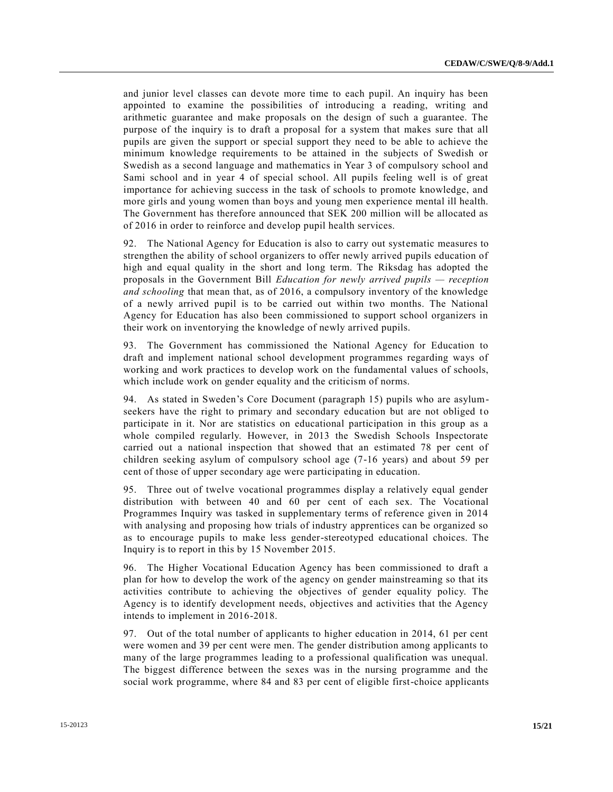and junior level classes can devote more time to each pupil. An inquiry has been appointed to examine the possibilities of introducing a reading, writing and arithmetic guarantee and make proposals on the design of such a guarantee. The purpose of the inquiry is to draft a proposal for a system that makes sure that all pupils are given the support or special support they need to be able to achieve the minimum knowledge requirements to be attained in the subjects of Swedish or Swedish as a second language and mathematics in Year 3 of compulsory school and Sami school and in year 4 of special school. All pupils feeling well is of great importance for achieving success in the task of schools to promote knowledge, and more girls and young women than boys and young men experience mental ill health. The Government has therefore announced that SEK 200 million will be allocated as of 2016 in order to reinforce and develop pupil health services.

92. The National Agency for Education is also to carry out systematic measures to strengthen the ability of school organizers to offer newly arrived pupils education of high and equal quality in the short and long term. The Riksdag has adopted the proposals in the Government Bill *Education for newly arrived pupils — reception and schooling* that mean that, as of 2016, a compulsory inventory of the knowledge of a newly arrived pupil is to be carried out within two months. The National Agency for Education has also been commissioned to support school organizers in their work on inventorying the knowledge of newly arrived pupils.

93. The Government has commissioned the National Agency for Education to draft and implement national school development programmes regarding ways of working and work practices to develop work on the fundamental values of schools, which include work on gender equality and the criticism of norms.

94. As stated in Sweden's Core Document (paragraph 15) pupils who are asylumseekers have the right to primary and secondary education but are not obliged to participate in it. Nor are statistics on educational participation in this group as a whole compiled regularly. However, in 2013 the Swedish Schools Inspectorate carried out a national inspection that showed that an estimated 78 per cent of children seeking asylum of compulsory school age (7-16 years) and about 59 per cent of those of upper secondary age were participating in education.

95. Three out of twelve vocational programmes display a relatively equal gender distribution with between 40 and 60 per cent of each sex. The Vocational Programmes Inquiry was tasked in supplementary terms of reference given in 2014 with analysing and proposing how trials of industry apprentices can be organized so as to encourage pupils to make less gender-stereotyped educational choices. The Inquiry is to report in this by 15 November 2015.

96. The Higher Vocational Education Agency has been commissioned to draft a plan for how to develop the work of the agency on gender mainstreaming so that its activities contribute to achieving the objectives of gender equality policy. The Agency is to identify development needs, objectives and activities that the Agency intends to implement in 2016-2018.

97. Out of the total number of applicants to higher education in 2014, 61 per cent were women and 39 per cent were men. The gender distribution among applicants to many of the large programmes leading to a professional qualification was unequal. The biggest difference between the sexes was in the nursing programme and the social work programme, where 84 and 83 per cent of eligible first-choice applicants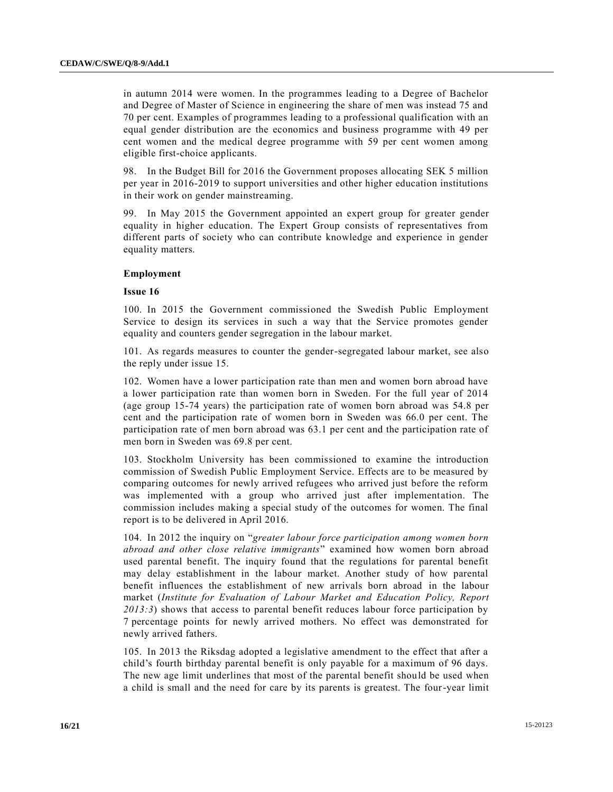in autumn 2014 were women. In the programmes leading to a Degree of Bachelor and Degree of Master of Science in engineering the share of men was instead 75 and 70 per cent. Examples of programmes leading to a professional qualification with an equal gender distribution are the economics and business programme with 49 per cent women and the medical degree programme with 59 per cent women among eligible first-choice applicants.

98. In the Budget Bill for 2016 the Government proposes allocating SEK 5 million per year in 2016-2019 to support universities and other higher education institutions in their work on gender mainstreaming.

99. In May 2015 the Government appointed an expert group for greater gender equality in higher education. The Expert Group consists of representatives from different parts of society who can contribute knowledge and experience in gender equality matters.

#### **Employment**

# **Issue 16**

100. In 2015 the Government commissioned the Swedish Public Employment Service to design its services in such a way that the Service promotes gender equality and counters gender segregation in the labour market.

101. As regards measures to counter the gender-segregated labour market, see also the reply under issue 15.

102. Women have a lower participation rate than men and women born abroad have a lower participation rate than women born in Sweden. For the full year of 2014 (age group 15-74 years) the participation rate of women born abroad was 54.8 per cent and the participation rate of women born in Sweden was 66.0 per cent. The participation rate of men born abroad was 63.1 per cent and the participation rate of men born in Sweden was 69.8 per cent.

103. Stockholm University has been commissioned to examine the introduction commission of Swedish Public Employment Service. Effects are to be measured by comparing outcomes for newly arrived refugees who arrived just before the reform was implemented with a group who arrived just after implementation. The commission includes making a special study of the outcomes for women. The final report is to be delivered in April 2016.

104. In 2012 the inquiry on "*greater labour force participation among women born abroad and other close relative immigrants*" examined how women born abroad used parental benefit. The inquiry found that the regulations for parental benefit may delay establishment in the labour market. Another study of how parental benefit influences the establishment of new arrivals born abroad in the labour market (*Institute for Evaluation of Labour Market and Education Policy, Report 2013:3*) shows that access to parental benefit reduces labour force participation by 7 percentage points for newly arrived mothers. No effect was demonstrated for newly arrived fathers.

105. In 2013 the Riksdag adopted a legislative amendment to the effect that after a child's fourth birthday parental benefit is only payable for a maximum of 96 days. The new age limit underlines that most of the parental benefit should be used when a child is small and the need for care by its parents is greatest. The four-year limit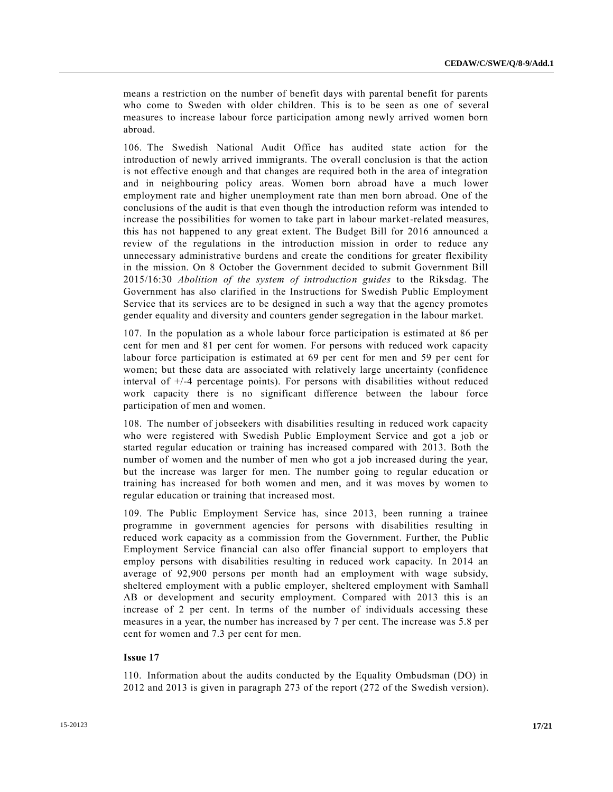means a restriction on the number of benefit days with parental benefit for parents who come to Sweden with older children. This is to be seen as one of several measures to increase labour force participation among newly arrived women born abroad.

106. The Swedish National Audit Office has audited state action for the introduction of newly arrived immigrants. The overall conclusion is that the action is not effective enough and that changes are required both in the area of integration and in neighbouring policy areas. Women born abroad have a much lower employment rate and higher unemployment rate than men born abroad. One of the conclusions of the audit is that even though the introduction reform was intended to increase the possibilities for women to take part in labour market-related measures, this has not happened to any great extent. The Budget Bill for 2016 announced a review of the regulations in the introduction mission in order to reduce any unnecessary administrative burdens and create the conditions for greater flexibility in the mission. On 8 October the Government decided to submit Government Bill 2015/16:30 *Abolition of the system of introduction guides* to the Riksdag. The Government has also clarified in the Instructions for Swedish Public Employment Service that its services are to be designed in such a way that the agency promotes gender equality and diversity and counters gender segregation in the labour market.

107. In the population as a whole labour force participation is estimated at 86 per cent for men and 81 per cent for women. For persons with reduced work capacity labour force participation is estimated at 69 per cent for men and 59 per cent for women; but these data are associated with relatively large uncertainty (confidence interval of +/-4 percentage points). For persons with disabilities without reduced work capacity there is no significant difference between the labour force participation of men and women.

108. The number of jobseekers with disabilities resulting in reduced work capacity who were registered with Swedish Public Employment Service and got a job or started regular education or training has increased compared with 2013. Both the number of women and the number of men who got a job increased during the year, but the increase was larger for men. The number going to regular education or training has increased for both women and men, and it was moves by women to regular education or training that increased most.

109. The Public Employment Service has, since 2013, been running a trainee programme in government agencies for persons with disabilities resulting in reduced work capacity as a commission from the Government. Further, the Public Employment Service financial can also offer financial support to employers that employ persons with disabilities resulting in reduced work capacity. In 2014 an average of 92,900 persons per month had an employment with wage subsidy, sheltered employment with a public employer, sheltered employment with Samhall AB or development and security employment. Compared with 2013 this is an increase of 2 per cent. In terms of the number of individuals accessing these measures in a year, the number has increased by 7 per cent. The increase was 5.8 per cent for women and 7.3 per cent for men.

# **Issue 17**

110. Information about the audits conducted by the Equality Ombudsman (DO) in 2012 and 2013 is given in paragraph 273 of the report (272 of the Swedish version).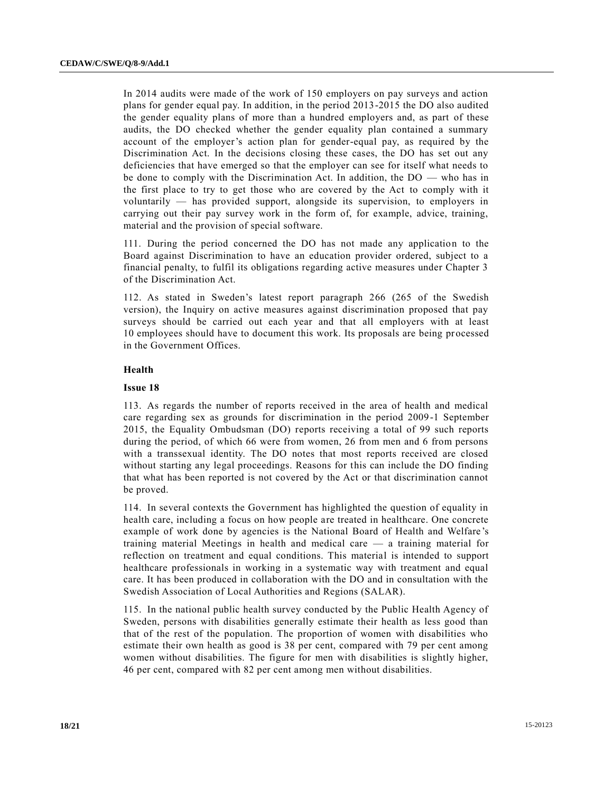In 2014 audits were made of the work of 150 employers on pay surveys and action plans for gender equal pay. In addition, in the period 2013-2015 the DO also audited the gender equality plans of more than a hundred employers and, as part of these audits, the DO checked whether the gender equality plan contained a summary account of the employer's action plan for gender-equal pay, as required by the Discrimination Act. In the decisions closing these cases, the DO has set out any deficiencies that have emerged so that the employer can see for itself what needs to be done to comply with the Discrimination Act. In addition, the DO — who has in the first place to try to get those who are covered by the Act to comply with it voluntarily — has provided support, alongside its supervision, to employers in carrying out their pay survey work in the form of, for example, advice, training, material and the provision of special software.

111. During the period concerned the DO has not made any application to the Board against Discrimination to have an education provider ordered, subject to a financial penalty, to fulfil its obligations regarding active measures under Chapter 3 of the Discrimination Act.

112. As stated in Sweden's latest report paragraph 266 (265 of the Swedish version), the Inquiry on active measures against discrimination proposed that pay surveys should be carried out each year and that all employers with at least 10 employees should have to document this work. Its proposals are being pr ocessed in the Government Offices.

#### **Health**

#### **Issue 18**

113. As regards the number of reports received in the area of health and medical care regarding sex as grounds for discrimination in the period 2009-1 September 2015, the Equality Ombudsman (DO) reports receiving a total of 99 such reports during the period, of which 66 were from women, 26 from men and 6 from persons with a transsexual identity. The DO notes that most reports received are closed without starting any legal proceedings. Reasons for this can include the DO finding that what has been reported is not covered by the Act or that discrimination cannot be proved.

114. In several contexts the Government has highlighted the question of equality in health care, including a focus on how people are treated in healthcare. One concrete example of work done by agencies is the National Board of Health and Welfare 's training material Meetings in health and medical care — a training material for reflection on treatment and equal conditions. This material is intended to support healthcare professionals in working in a systematic way with treatment and equal care. It has been produced in collaboration with the DO and in consultation with the Swedish Association of Local Authorities and Regions (SALAR).

115. In the national public health survey conducted by the Public Health Agency of Sweden, persons with disabilities generally estimate their health as less good than that of the rest of the population. The proportion of women with disabilities who estimate their own health as good is 38 per cent, compared with 79 per cent among women without disabilities. The figure for men with disabilities is slightly higher, 46 per cent, compared with 82 per cent among men without disabilities.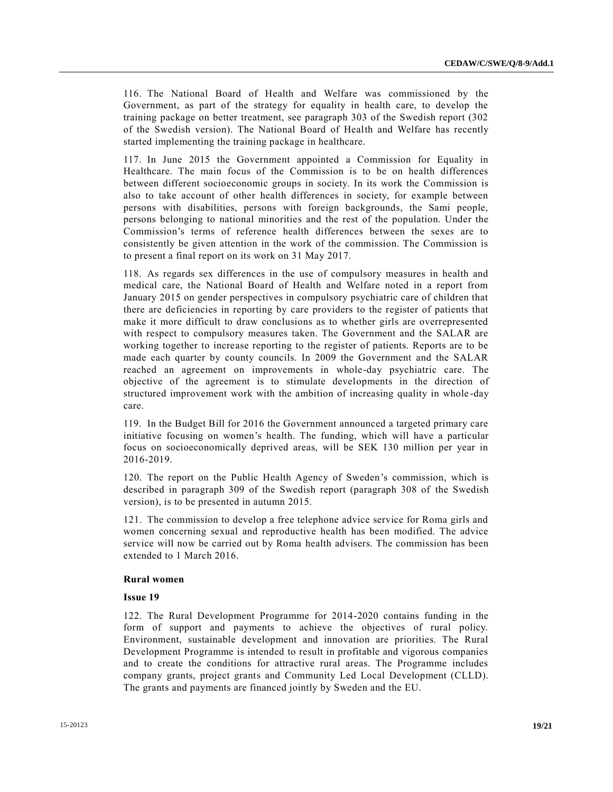116. The National Board of Health and Welfare was commissioned by the Government, as part of the strategy for equality in health care, to develop the training package on better treatment, see paragraph 303 of the Swedish report (302 of the Swedish version). The National Board of Health and Welfare has recently started implementing the training package in healthcare.

117. In June 2015 the Government appointed a Commission for Equality in Healthcare. The main focus of the Commission is to be on health differences between different socioeconomic groups in society. In its work the Commission is also to take account of other health differences in society, for example between persons with disabilities, persons with foreign backgrounds, the Sami people, persons belonging to national minorities and the rest of the population. Under the Commission's terms of reference health differences between the sexes are to consistently be given attention in the work of the commission. The Commission is to present a final report on its work on 31 May 2017.

118. As regards sex differences in the use of compulsory measures in health and medical care, the National Board of Health and Welfare noted in a report from January 2015 on gender perspectives in compulsory psychiatric care of children that there are deficiencies in reporting by care providers to the register of patients that make it more difficult to draw conclusions as to whether girls are overrepresented with respect to compulsory measures taken. The Government and the SALAR are working together to increase reporting to the register of patients. Reports are to be made each quarter by county councils. In 2009 the Government and the SALAR reached an agreement on improvements in whole-day psychiatric care. The objective of the agreement is to stimulate developments in the direction of structured improvement work with the ambition of increasing quality in whole -day care.

119. In the Budget Bill for 2016 the Government announced a targeted primary care initiative focusing on women's health. The funding, which will have a particular focus on socioeconomically deprived areas, will be SEK 130 million per year in 2016-2019.

120. The report on the Public Health Agency of Sweden's commission, which is described in paragraph 309 of the Swedish report (paragraph 308 of the Swedish version), is to be presented in autumn 2015.

121. The commission to develop a free telephone advice service for Roma girls and women concerning sexual and reproductive health has been modified. The advice service will now be carried out by Roma health advisers. The commission has been extended to 1 March 2016.

#### **Rural women**

# **Issue 19**

122. The Rural Development Programme for 2014-2020 contains funding in the form of support and payments to achieve the objectives of rural policy. Environment, sustainable development and innovation are priorities. The Rural Development Programme is intended to result in profitable and vigorous companies and to create the conditions for attractive rural areas. The Programme includes company grants, project grants and Community Led Local Development (CLLD). The grants and payments are financed jointly by Sweden and the EU.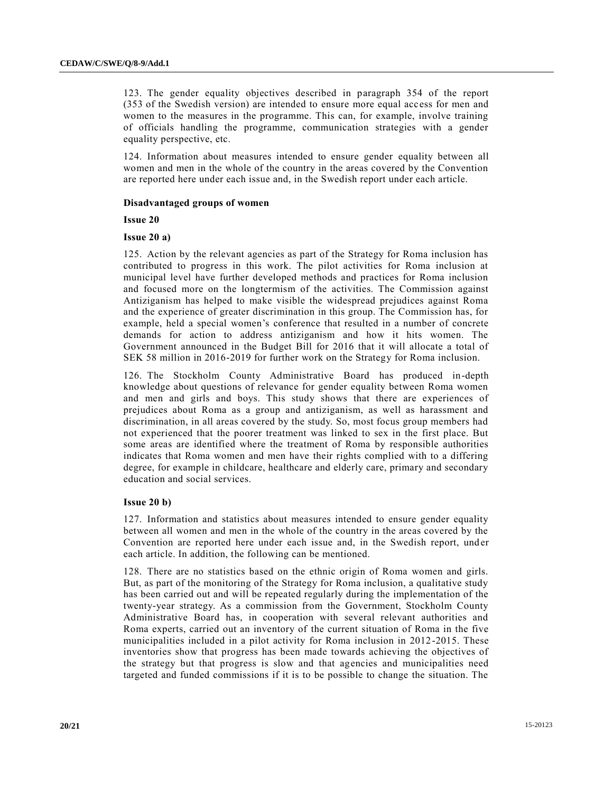123. The gender equality objectives described in paragraph 354 of the report (353 of the Swedish version) are intended to ensure more equal acc ess for men and women to the measures in the programme. This can, for example, involve training of officials handling the programme, communication strategies with a gender equality perspective, etc.

124. Information about measures intended to ensure gender equality between all women and men in the whole of the country in the areas covered by the Convention are reported here under each issue and, in the Swedish report under each article.

# **Disadvantaged groups of women**

**Issue 20**

## **Issue 20 a)**

125. Action by the relevant agencies as part of the Strategy for Roma inclusion has contributed to progress in this work. The pilot activities for Roma inclusion at municipal level have further developed methods and practices for Roma inclusion and focused more on the longtermism of the activities. The Commission against Antiziganism has helped to make visible the widespread prejudices against Roma and the experience of greater discrimination in this group. The Commission has, for example, held a special women's conference that resulted in a number of concrete demands for action to address antiziganism and how it hits women. The Government announced in the Budget Bill for 2016 that it will allocate a total of SEK 58 million in 2016-2019 for further work on the Strategy for Roma inclusion.

126. The Stockholm County Administrative Board has produced in-depth knowledge about questions of relevance for gender equality between Roma women and men and girls and boys. This study shows that there are experiences of prejudices about Roma as a group and antiziganism, as well as harassment and discrimination, in all areas covered by the study. So, most focus group members had not experienced that the poorer treatment was linked to sex in the first place. But some areas are identified where the treatment of Roma by responsible authorities indicates that Roma women and men have their rights complied with to a differing degree, for example in childcare, healthcare and elderly care, primary and secondary education and social services.

#### **Issue 20 b)**

127. Information and statistics about measures intended to ensure gender equality between all women and men in the whole of the country in the areas covered by the Convention are reported here under each issue and, in the Swedish report, und er each article. In addition, the following can be mentioned.

128. There are no statistics based on the ethnic origin of Roma women and girls. But, as part of the monitoring of the Strategy for Roma inclusion, a qualitative study has been carried out and will be repeated regularly during the implementation of the twenty-year strategy. As a commission from the Government, Stockholm County Administrative Board has, in cooperation with several relevant authorities and Roma experts, carried out an inventory of the current situation of Roma in the five municipalities included in a pilot activity for Roma inclusion in 2012-2015. These inventories show that progress has been made towards achieving the objectives of the strategy but that progress is slow and that agencies and municipalities need targeted and funded commissions if it is to be possible to change the situation. The